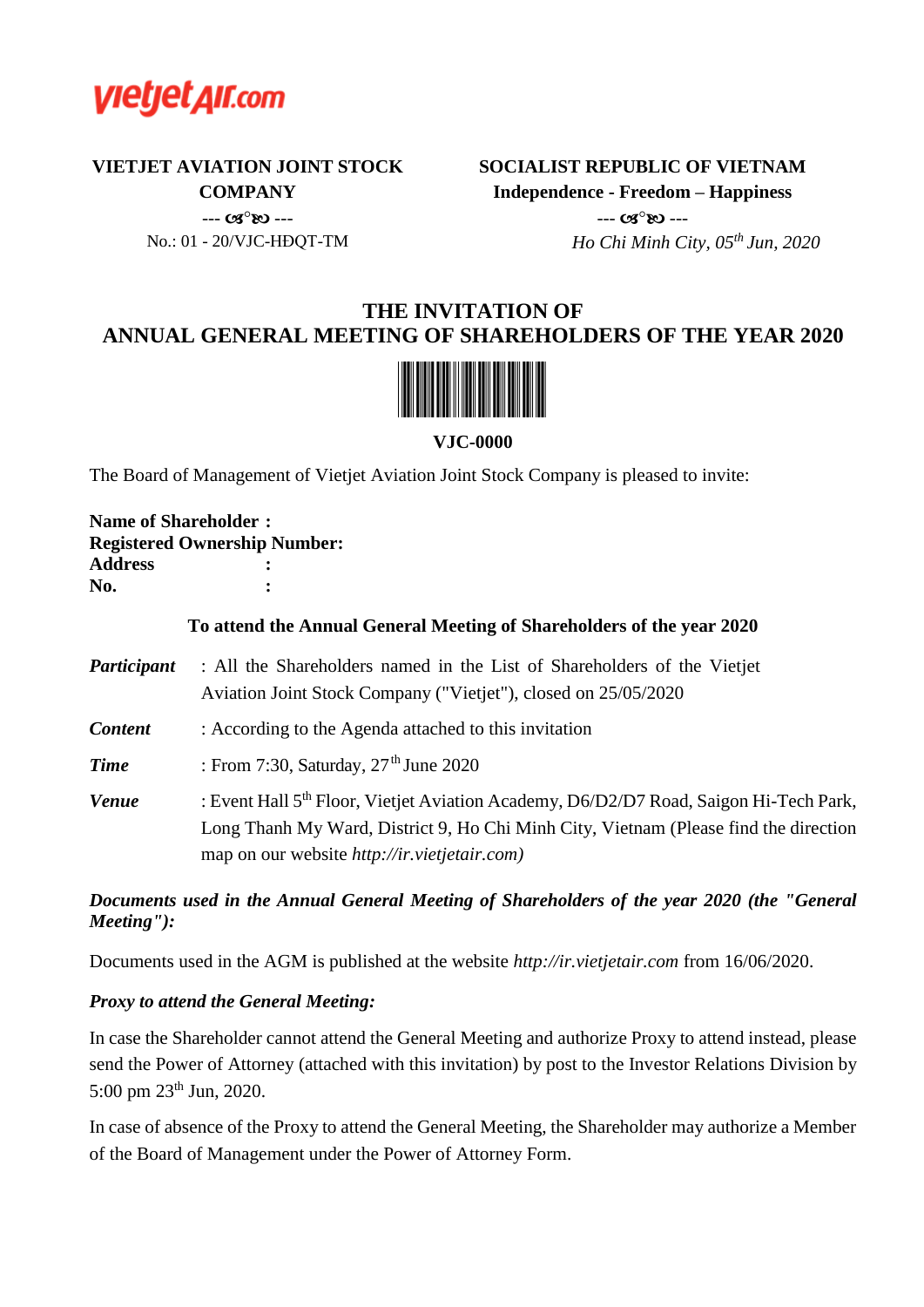

**VIETJET AVIATION JOINT STOCK COMPANY**

> $- - (08^{\circ}R)$   $- -$ No.: 01 - 20/VJC-HĐQT-TM

**SOCIALIST REPUBLIC OF VIETNAM Independence - Freedom – Happiness**  $- - (0.002)$ 

 *Ho Chi Minh City, 05 th Jun, 2020*

# **THE INVITATION OF ANNUAL GENERAL MEETING OF SHAREHOLDERS OF THE YEAR 2020**



**VJC-0000**

The Board of Management of Vietjet Aviation Joint Stock Company is pleased to invite:

**Name of Shareholder : Registered Ownership Number: Address : No. :** 

#### **To attend the Annual General Meeting of Shareholders of the year 2020**

| Participant    | : All the Shareholders named in the List of Shareholders of the Vietjet                                                                                                                   |
|----------------|-------------------------------------------------------------------------------------------------------------------------------------------------------------------------------------------|
|                | Aviation Joint Stock Company ("Vietjet"), closed on 25/05/2020                                                                                                                            |
| <b>Content</b> | : According to the Agenda attached to this invitation                                                                                                                                     |
| <b>Time</b>    | : From 7:30, Saturday, $27th$ June 2020                                                                                                                                                   |
| <b>Venue</b>   | : Event Hall 5 <sup>th</sup> Floor, Vietjet Aviation Academy, D6/D2/D7 Road, Saigon Hi-Tech Park,<br>Long Thanh My Ward, District 9, Ho Chi Minh City, Vietnam (Please find the direction |
|                | map on our website http://ir.vietjetair.com)                                                                                                                                              |

#### *Documents used in the Annual General Meeting of Shareholders of the year 2020 (the "General Meeting"):*

Documents used in the AGM is published at the website *http://ir.vietjetair.com* from 16/06/2020.

#### *Proxy to attend the General Meeting:*

In case the Shareholder cannot attend the General Meeting and authorize Proxy to attend instead, please send the Power of Attorney (attached with this invitation) by post to the Investor Relations Division by 5:00 pm 23<sup>th</sup> Jun, 2020.

In case of absence of the Proxy to attend the General Meeting, the Shareholder may authorize a Member of the Board of Management under the Power of Attorney Form.